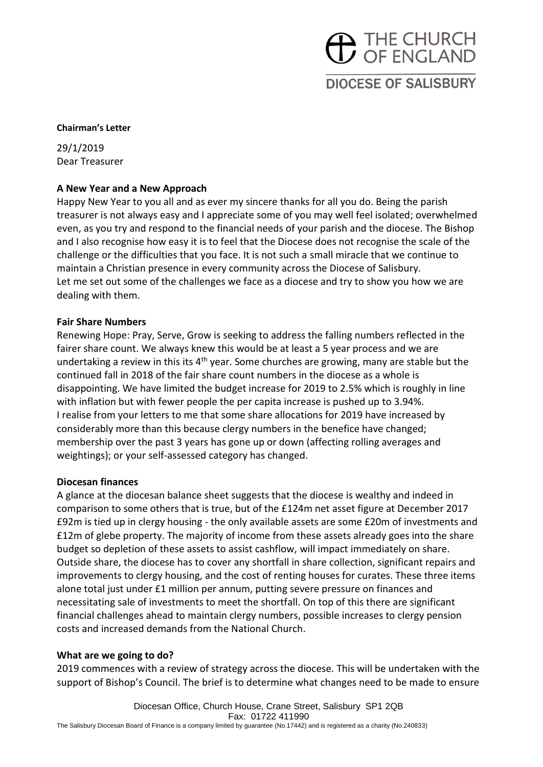# THE CHURCH **DIOCESE OF SALISBURY**

#### **Chairman's Letter**

29/1/2019 Dear Treasurer

# **A New Year and a New Approach**

Happy New Year to you all and as ever my sincere thanks for all you do. Being the parish treasurer is not always easy and I appreciate some of you may well feel isolated; overwhelmed even, as you try and respond to the financial needs of your parish and the diocese. The Bishop and I also recognise how easy it is to feel that the Diocese does not recognise the scale of the challenge or the difficulties that you face. It is not such a small miracle that we continue to maintain a Christian presence in every community across the Diocese of Salisbury. Let me set out some of the challenges we face as a diocese and try to show you how we are dealing with them.

#### **Fair Share Numbers**

Renewing Hope: Pray, Serve, Grow is seeking to address the falling numbers reflected in the fairer share count. We always knew this would be at least a 5 year process and we are undertaking a review in this its  $4<sup>th</sup>$  year. Some churches are growing, many are stable but the continued fall in 2018 of the fair share count numbers in the diocese as a whole is disappointing. We have limited the budget increase for 2019 to 2.5% which is roughly in line with inflation but with fewer people the per capita increase is pushed up to 3.94%. I realise from your letters to me that some share allocations for 2019 have increased by considerably more than this because clergy numbers in the benefice have changed; membership over the past 3 years has gone up or down (affecting rolling averages and weightings); or your self-assessed category has changed.

#### **Diocesan finances**

A glance at the diocesan balance sheet suggests that the diocese is wealthy and indeed in comparison to some others that is true, but of the £124m net asset figure at December 2017 £92m is tied up in clergy housing - the only available assets are some £20m of investments and £12m of glebe property. The majority of income from these assets already goes into the share budget so depletion of these assets to assist cashflow, will impact immediately on share. Outside share, the diocese has to cover any shortfall in share collection, significant repairs and improvements to clergy housing, and the cost of renting houses for curates. These three items alone total just under £1 million per annum, putting severe pressure on finances and necessitating sale of investments to meet the shortfall. On top of this there are significant financial challenges ahead to maintain clergy numbers, possible increases to clergy pension costs and increased demands from the National Church.

# **What are we going to do?**

2019 commences with a review of strategy across the diocese. This will be undertaken with the support of Bishop's Council. The brief is to determine what changes need to be made to ensure